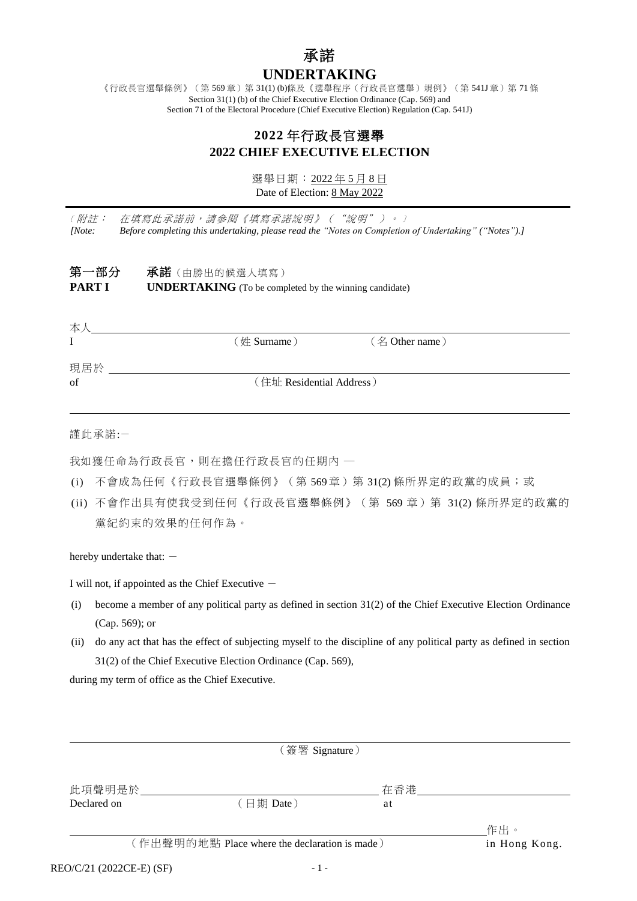# 承諾 **UNDERTAKING**

《行政長官選舉條例》(第 569章)第 31(1) (b)條及《選舉程序(行政長官選舉)規例》(第 541J 章)第 71 條 Section 31(1) (b) of the Chief Executive Election Ordinance (Cap. 569) and Section 71 of the Electoral Procedure (Chief Executive Election) Regulation (Cap. 541J)

# **2022** 年行政長官選舉 **2022 CHIEF EXECUTIVE ELECTION**

選舉日期:2022 年 5 月 8 日 Date of Election: 8 May 2022

﹝附註:在填寫此承諾前,請參閱《填寫承諾說明》("說明")。﹞ *[Note: Before completing this undertaking, please read the "Notes on Completion of Undertaking" ("Notes").]*

| 第一部分          | <b>承諾</b> (由勝出的候選人填寫)                                         |
|---------------|---------------------------------------------------------------|
| <b>PART I</b> | <b>UNDERTAKING</b> (To be completed by the winning candidate) |

| $(\n# Sumame)$           | (名 Other name) |
|--------------------------|----------------|
|                          |                |
|                          |                |
| (住址 Residential Address) |                |
|                          |                |
|                          |                |

謹此承諾:-

我如獲任命為行政長官,則在擔任行政長官的任期內 一

- (i) 不會成為任何《行政長官選舉條例》(第 569章)第 31(2)條所界定的政黨的成員;或
- (ii) 不會作出具有使我受到任何《行政長官選舉條例》(第 569 章)第 31(2) 條所界定的政黨的 黨紀約束的效果的任何作為。

hereby undertake that: -

I will not, if appointed as the Chief Executive  $-$ 

- (i) become a member of any political party as defined in section 31(2) of the Chief Executive Election Ordinance (Cap. 569); or
- (ii) do any act that has the effect of subjecting myself to the discipline of any political party as defined in section 31(2) of the Chief Executive Election Ordinance (Cap. 569),

during my term of office as the Chief Executive.

|                                               | (簽署 Signature) |     |               |
|-----------------------------------------------|----------------|-----|---------------|
| 此項聲明是於                                        |                | 在香港 |               |
| Declared on                                   | (日期 Date)      | at  |               |
|                                               |                |     | 作出。           |
| (作出聲明的地點 Place where the declaration is made) |                |     | in Hong Kong. |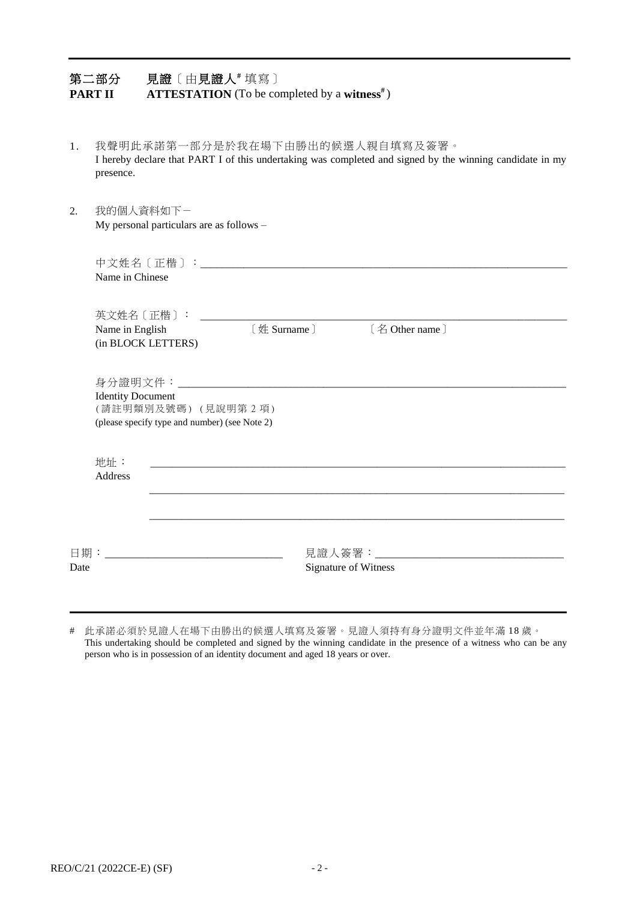| <b>PART II</b> | 見證〔由見證人 "填寫〕<br>第二部分<br><b>ATTESTATION</b> (To be completed by a witness <sup>#</sup> )                                                                  |
|----------------|----------------------------------------------------------------------------------------------------------------------------------------------------------|
| 1.             | 我聲明此承諾第一部分是於我在場下由勝出的候選人親自填寫及簽署。<br>I hereby declare that PART I of this undertaking was completed and signed by the winning candidate in my<br>presence. |
| 2.             | 我的個人資料如下一<br>My personal particulars are as follows -                                                                                                    |
|                | Name in Chinese                                                                                                                                          |
|                | 英文姓名〔正楷〕:<br>[姓 Surname]<br>[名 Other name]<br>Name in English<br>(in BLOCK LETTERS)                                                                      |
|                | <b>Identity Document</b><br>(請註明類別及號碼)(見說明第2項)<br>(please specify type and number) (see Note 2)                                                          |
|                | 地址:<br>Address                                                                                                                                           |
| 日期:<br>Date    | 見證人簽署:_______<br>Signature of Witness                                                                                                                    |

# 此承諾必須於見證人在場下由勝出的候選人填寫及簽署。見證人須持有身分證明文件並年滿 18 歲。 This undertaking should be completed and signed by the winning candidate in the presence of a witness who can be any person who is in possession of an identity document and aged 18 years or over.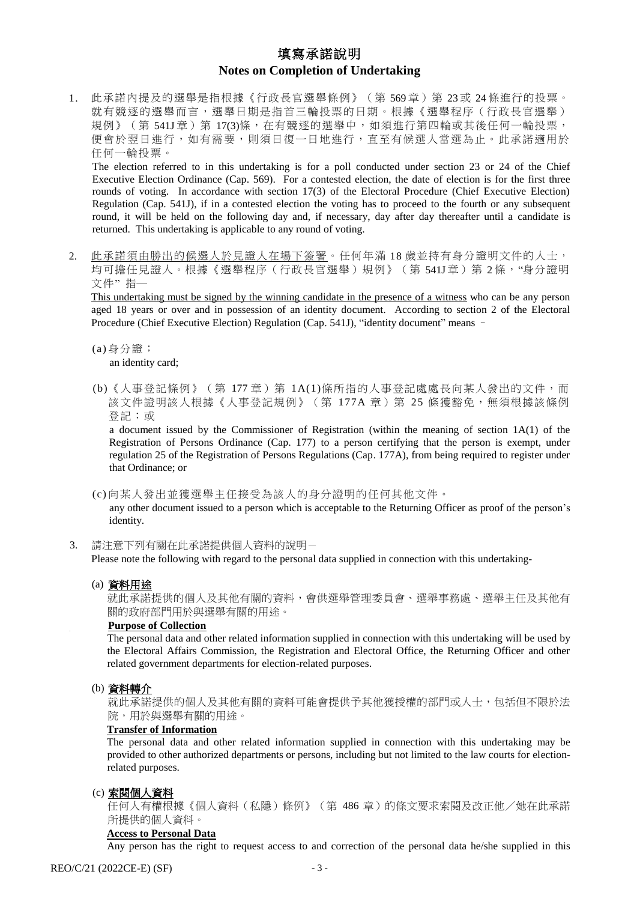# 填寫承諾說明 **Notes on Completion of Undertaking**

1. 此承諾內提及的選舉是指根據《行政長官選舉條例》(第 569 章)第 23 或 24 條進行的投票。 就有競逐的選舉而言,選舉日期是指首三輪投票的日期。根據《選舉程序(行政長官選舉) 規例》(第 541J 章) 第 17(3)條, 在有競逐的選舉中, 如須進行第四輪或其後任何一輪投票, 便會於翌日進行,如有需要,則須日復一日地進行,直至有候選人當選為止。此承諾適用於 任何一輪投票。

The election referred to in this undertaking is for a poll conducted under section 23 or 24 of the Chief Executive Election Ordinance (Cap. 569). For a contested election, the date of election is for the first three rounds of voting. In accordance with section 17(3) of the Electoral Procedure (Chief Executive Election) Regulation (Cap. 541J), if in a contested election the voting has to proceed to the fourth or any subsequent round, it will be held on the following day and, if necessary, day after day thereafter until a candidate is returned. This undertaking is applicable to any round of voting.

2. 此承諾須由勝出的候選人於見證人在場下簽署。任何年滿18歲並持有身分證明文件的人士, 均可擔任見證人。根據《選舉程序(行政長官選舉)規例》(第 541J 章)第 2條, "身分證明 文件"指一

This undertaking must be signed by the winning candidate in the presence of a witness who can be any person aged 18 years or over and in possession of an identity document. According to section 2 of the Electoral Procedure (Chief Executive Election) Regulation (Cap. 541J), "identity document" means –

- (a) 身分證; an identity card;
- (b)《人事登記條例》(第 177 章)第 1A(1)條所指的人事登記處處長向某人發出的文件,而 該文件證明該人根據《人事登記規例》(第 177A 章) 第 25 條獲豁免,無須根據該條例 登記;或

a document issued by the Commissioner of Registration (within the meaning of section 1A(1) of the Registration of Persons Ordinance (Cap. 177) to a person certifying that the person is exempt, under regulation 25 of the Registration of Persons Regulations (Cap. 177A), from being required to register under that Ordinance; or

(c) 向某人發出並獲選舉主任接受為該人的身分證明的任何其他文件。 any other document issued to a person which is acceptable to the Returning Officer as proof of the person's identity.

3. 請注意下列有關在此承諾提供個人資料的說明-

Please note the following with regard to the personal data supplied in connection with this undertaking-

#### (a) 資料用途

就此承諾提供的個人及其他有關的資料,會供選舉管理委員會、選舉事務處、選舉主任及其他有 關的政府部門用於與選舉有關的用途。

### **Purpose of Collection**

The personal data and other related information supplied in connection with this undertaking will be used by the Electoral Affairs Commission, the Registration and Electoral Office, the Returning Officer and other related government departments for election-related purposes.

## (b) 資料轉介

就此承諾提供的個人及其他有關的資料可能會提供予其他獲授權的部門或人士,包括但不限於法 院,用於與選舉有關的用途。

### **Transfer of Information**

The personal data and other related information supplied in connection with this undertaking may be provided to other authorized departments or persons, including but not limited to the law courts for electionrelated purposes.

#### (c) 索閱個人資料

任何人有權根據《個人資料(私隱)條例》(第 486 章)的條文要求索閱及改正他/她在此承諾 所提供的個人資料。

#### **Access to Personal Data**

Any person has the right to request access to and correction of the personal data he/she supplied in this